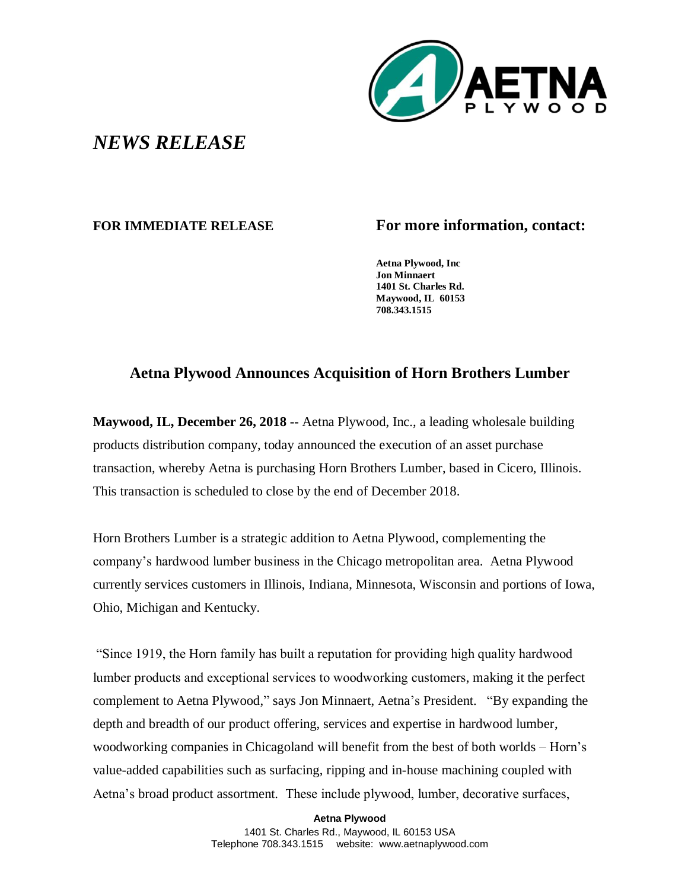

## *NEWS RELEASE*

## **FOR IMMEDIATE RELEASE For more information, contact:**

**Aetna Plywood, Inc Jon Minnaert 1401 St. Charles Rd. Maywood, IL 60153 708.343.1515**

## **Aetna Plywood Announces Acquisition of Horn Brothers Lumber**

**Maywood, IL, December 26, 2018 --** Aetna Plywood, Inc., a leading wholesale building products distribution company, today announced the execution of an asset purchase transaction, whereby Aetna is purchasing Horn Brothers Lumber, based in Cicero, Illinois. This transaction is scheduled to close by the end of December 2018.

Horn Brothers Lumber is a strategic addition to Aetna Plywood, complementing the company's hardwood lumber business in the Chicago metropolitan area. Aetna Plywood currently services customers in Illinois, Indiana, Minnesota, Wisconsin and portions of Iowa, Ohio, Michigan and Kentucky.

"Since 1919, the Horn family has built a reputation for providing high quality hardwood lumber products and exceptional services to woodworking customers, making it the perfect complement to Aetna Plywood," says Jon Minnaert, Aetna's President. "By expanding the depth and breadth of our product offering, services and expertise in hardwood lumber, woodworking companies in Chicagoland will benefit from the best of both worlds – Horn's value-added capabilities such as surfacing, ripping and in-house machining coupled with Aetna's broad product assortment. These include plywood, lumber, decorative surfaces,

**Aetna Plywood**